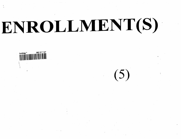# ENROLLMENT(S)

 $(5)$ 

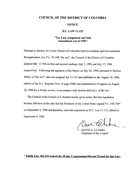## COUNCIL OF THE DISTRICT OF COLUMBIA

#### **NOTICE**

### D.C. LAW 11-153

# **"Tax Lien Assignment and Sale Amendment Act of 1996".**

Pursuant to Section 412 of the District of Columbia Self-Government and Governmental Reorganization Act, P.L. 93-198 "the Act", the Council of the District of Columbia adopted Bill 11-704 on first and second readings, July 3, 1996 and July 17, 1996 respectively. Following the signature of the Mayor on July 26, 1996, pursuant to Section 404(e) of"the Act", and was assigned Act 11-353 and published in the August 16, 1996, edition of the D.C. Register (Vol. 43 page 4380) and transmitted to Congress on August 28, 1996 for a 30-day review, in accordance with Section  $602(c)(1)$  of the Act.

The Council of the District of Columbia hereby gives notice that this legislation became effective on the date that the President of the United States signed P.L. 104-194" on September 9, 1996 and therefore, cites this enactment as D.C. Law 11-153, effective September 9, 1996.

**DAVID A. CLARKE** Chairman of the Council

**\* Public Law 104-194 waived the 30-day Congressional Review Period for this Law.**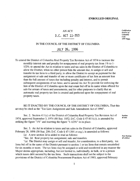# AN ACT **D.C. ACT 11-353**

*Codification District of Colutnbia Code* 1997 **Supp.**

## IN THE COUNCIL OF THE DISTRICT OF COLUMBIA

# JULY 26, 1996

To amend the District of Columbia Real Property Tax Revision Act of 1974 to increase the monthly interest rate and penalty for nonpayment of real property tax from 1% to 1- 112%; to amend the Act in relation to taxes and tax sales in the District of Columbia to allow the District, when no other person bids the amount due, to assign or sell and transfer its tax liens to a third party, to allow the District to accept as payment for the assignment or sale and transfer of one or more certificates of tax lien an amount less than the full amount of taxes due including penalty and interest, and to permit subsequent assignments of tax liens; and to amend An Act To provide for enforcing the lien of the District of Columbia upon the real estate bid off in its name when offered for sale for arrears of taxes and assessments, and for other purposes to clarify that an automatic real property tax lien is created and perfected upon the nonpayment of real property taxes.

BE IT ENACTED BY THE COUNCIL OF THE DISTRICT OF COLUMBIA, That this act may be cited as the "Tax Lien Assignment and Sale Amendment Act of 1996".

Sec. 2. Section 411(c) of the District of Columbia Real Property Tax Revision Act of 1974, approved September 3, 1974 (88 Stat. 1052; D.C. Code § 47-811(c)), is amended by striking the figure "1%" and inserting the figure "1-1/2%" in its place.

**Section** 47-811

Sec. 3. An Act in relation to taxes and tax sales in the District of Columbia, approved February 28, 1898 (30 Stat. 250; D.C. Code § 47-1301 *et seq.),* is amended as follows:

(a) A new section 2d is added to read as follows:

"Sec. 2d. Real property tax assignment; sale and transfers.

"(a) The District may assign or sell and transfer, for consideration, to a third party, tax liens bid off in the name of the District pursuant to section 1 or tax liens that remain unsatisfied for six months or more. The tax liens may be assigned or sold and transferred in any manner the Mayor deems appropriate, including, but not limited to, individually, in bulk, or to a person which issues debt secured by the tax liens. Such transactions shall not be subject to the provisions of the District of Columbia Procurement Practices Act of 1985, approved February

**New Section** 47-1303.4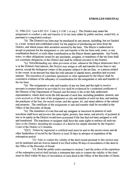21, 1986 (D.C. Law 6-85; D.C. Code § 1-1181.1 *et seq.).* The District may make the assignment or conduct a sale and transfer of its tax liens either by public auction, sealed bid, or pursuant to a negotiated contract.

"(b) The District's tax liens may be purchased by any person, including, but not limited to, a trust created and established solely for the purpose of purchasing tax liens from the District, and which issues debt securities secured by the liens. The Mayor is authorized to accept as payment for the assignment or sale and transfer of the tax liens cash, notes, or any combination thereof, or such other consideration as the Mayor deems appropriate. Any bonds, notes, or other obligations issued by any purchaser, assignee, or transferee of the tax liens shall not constitute obligations of the District and shall be without recourse to the District.

"(c) Notwithstanding any other provision of law, whenever the Mayor determines that it is in the District's best interest, the District may assign or sell and transfer its tax liens to any person, except the delinquent owner of the property subject to the tax lien, or a person related to the owner, in an amount less than the total amount of unpaid taxes, penalties and accrued interest. The execution of a purchase agreement or other agreement by the Mayor shall be conclusive evidence of the adequacy of consideration for the assignment or sale and transfer of the tax liens.

"(d) The assignment or sale and transfer of any tax liens and the right to receive amounts in respect thereof as provided by law shall be evidenced by a notarized certificate of the Director of the Department of Finance and Revenue or his or her duly authorized representative, which shall recite the full amount of such lien, including penalties, interest, and costs accrued as of the date of the assignment or sale and transfer of such tax lien, and naming the purchaser of the lien, the record owner, and the square, lot, and street address of the related real property. The certificate of the assignment or sale and transfer shall be recorded in the Office of the Recorder of Deeds.

"(e) The transferee of a tax lien and any assignee or successor in interest of such transferee shall have and possess the same rights, powers, lien status, and priority of payment at law or in equity as the District would have possessed if the lien had not been assigned or sold and transferred. The transferee or assignee shall have the same rights to enforce all such tax liens as the District, including the issuance of a deed in fee simple absolute by the Superior Court of the District of Columbia.

 $\Gamma(f)(1)$  Notice by registered or certified mail must be sent to the record owner and all other lienholders of record by the District at least 30 days in advance of expiration of the redemption period.

"(2) Suits to contest the validity of the deed issued pursuant to this section may not be instituted and are forever barred if not filed within 90 days of recordation of the deed in the Office of the Recorder of Deeds.

"(3) Both the public notice pursuant to section 1 and the notice of the expiration of the redemption period shall include a statement that suits to contest the validity of the deed must be filed within 90 days of recordation of such deed in the Office of the Recorder of Deeds.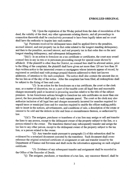"(4) Upon the expiration of the 90-day period from the date of recordation of the deed, the validity of the deed, any other agreements relating thereto, and all proceedings in connection therewith shall be conclusively presumed to have been legally taken and no court shall have the authority to inquire into such matters.

"(g) Payments received for delinquent taxes shall be applied first to the penalties, accrued interest, and real property tax in that order related to the longest standing delinquency, and then to the penalties, accrued interest, and real property tax in that order due on the next longest standing delinquency, and subsequent delinquencies.

 $\Gamma(h)(1)$  In an action to foreclose on a tax certificate or certificates, the court may award counsel fees in any in rem or in personam proceeding except for special cause shown by affidavit. If the plaintiff is other than the District, no counsel fees shall be allowed unless, prior to the filing of the complaint, the plaintiff shall have given not more than 120 nor less than 30 days written notice to the interested owners or mortgagees whose interests appear of record, by registered or certified mail with postage prepaid thereon addressed to their last known addresses, of intention to file such complaint. The notice shall also contain the amount due on the tax lien as of the day of the notice. After the complaint has been filed, all redemptions shall be subject to the fixing of fees and costs.

"(2) In an action for the foreclosure on a tax certificate, the court or the clerk may, as a matter of discretion, tax as a part of the taxable costs all legal fees and reasonable charges necessarily paid or incurred in procuring searches relative to the title of the subject premises. In tax foreclosure actions brought to foreclose tax sale certificates on more than one parcel, the fees prescribed shall apply to each separate parcel. The court or the clerk may also authorize inclusion of all legal fees and charges necessarily incurred for searches required for unpaid taxes or municipal liens and for searches required to enable the officer making public sale to insert in the notices, advertisements, and conditions of sale, a description of the estate or interest to be sold and the defects in title and liens or encumbrances thereon, as authorized by law.

 $\binom{n}{1}(1)$  The assignee, purchaser or transferee of a tax lien may assign or sell and transfer the liens to any person, except to the delinquent owner of the property subject to the lien, or a person related to the owner. The transferee thereof may subsequently transfer and assign the tax lien to any other person, except to the delinquent owner of the property subject to the tax lien, or a person related to the owner.

"(2) Any transfer made pursuant to paragraph (1) of this subsection shall be evidenced by a notarized document executed by the transferor. Such document shall crossreference the original notarized certificate of assignment or sale and transfer issued by the Department of Finance and Revenue and shall recite the information appearing on such original certificate.

"(3) Evidence of any subsequent transfer and assignment shall be recorded in the Office of the Recorder of Deeds.

"(j) The assignee, purchaser, or transferee of a tax lien, any successor thereof, shall be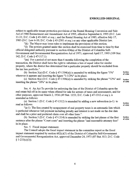subject to applicable tenant protection provisions of the Rental Housing Conversion and Sale Act of 1980 Reenactment and Amendment Act of 1995, effective September 6, 1995 (D.C, Law 11-31; D.C. Code § 45-1601 *et seq.),* and the Rental Housing Act of 1985, effective July 17, 1985 (D.C. Law 6-10; D.C. Code § 45-2501 *et seq.)* or any other applicable District law.

"(k) The Mayor may issue rules to implement the provisions of this section.

"(1) The powers granted under this section shall be exercised from time to time by that official delegated authority pursuant to section 424(a) of the District of Columbia Self-Government and Governmental Reorganization Act of 1973, approved April 17, 1995 (109 Stat. 142; D.C. Code § 47-317.1).

"(m) For a period of not more than 6 months following the completion of the transaction, the District shall have the right to substitute a lien of equal value for similar property, where the district has determined that a particular property should be excluded from the tax lien portfolio.".

(b) Section 3(a) (D.C. Code  $\S$  47-1304(a)) is amended by striking the figure "1%" wherever it appears and inserting the figure  $"1-1/2\%"$  in its place.

(c) Section 4(a) (D.C. Code  $\S$  47-1306(a)) is amended by striking the phrase "12%" and inserting the phrase "18%" in its place. **Section 47-1306**

Sec. 4. An Act To provide for enforcing the lien of the District of Columbia upon the real estate bid off in its name when offered for sale for arrears of taxes and assessments, and for other purposes, approved March 2, 1936 (49 Stat. 1153; D.C. Code § 47-1312 *et seq.),* is amended as follows:

(a) Section 1 (D.C. Code  $\S$  47-1312) is amended by adding a new subsection (a-1) to read as follows:

"(a-l) The lien created by nonpayment of real property taxes is an automatic lien which is perfected whenever full payment including penalty and interest is not made on the due date and shall be a prior and preferred claim over all other liens.".

(b) Section 3 (D.C. Code § 47-1314) is amended by striking the last phrase of the first sentence after the phrase "Court costs" and inserting the phrase "and reasonable attorney fees" in its place.

Sec. 5. Fiscal impact statement.

The Council adopts the fiscal impact statement in the committee report as the fiscal impact statement required by section 602(c)(3) of the District of Columbia Self-Government and Governmental Reorganization Act, approved December 24, 1973 (87 Stat. 813; D.C. Code  $§ 1-233(c)(3)).$ 

**Section 47-1304**

**Section 47-1312**

Section **47-1314**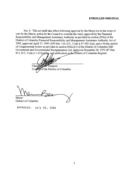Sec. 6. This act shall take effect following approval by the Mayor (or in the event of veto by the Mayor, action by the Council to override the veto), approval by the Financial Responsibility and Management Assistance Authority as provided in section 203(a) of the District of Columbia Financial Responsibility and Management Assistance Authority Act of 1995, approved April 17, 1995 (109 Stat. 116; D.C. Code § 47-392.3(a)), and a 30-day period of Congressional review as provided in section 602(c)(1) of the District of Columbia Self-Government and Governmental Reorganization Act, approved December 24, 1973 (87 Stat. 813; D.C. Code § 1-233( $\mathcal{G}(4)$ ), and publication in the District of Columbia Register.

 $Chairn$ Tempore

Council of the District of Columbia

Mayor District of Columbia

**APPROVED:** July 26, 1996